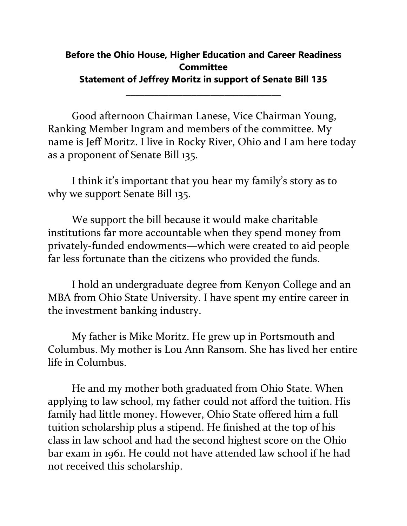## **Before the Ohio House, Higher Education and Career Readiness Committee Statement of Jeffrey Moritz in support of Senate Bill 135**

\_\_\_\_\_\_\_\_\_\_\_\_\_\_\_\_\_\_\_\_\_\_\_\_\_\_\_\_\_\_\_\_\_

Good afternoon Chairman Lanese, Vice Chairman Young, Ranking Member Ingram and members of the committee. My name is Jeff Moritz. I live in Rocky River, Ohio and I am here today as a proponent of Senate Bill 135.

I think it's important that you hear my family's story as to why we support Senate Bill 135.

We support the bill because it would make charitable institutions far more accountable when they spend money from privately-funded endowments—which were created to aid people far less fortunate than the citizens who provided the funds.

I hold an undergraduate degree from Kenyon College and an MBA from Ohio State University. I have spent my entire career in the investment banking industry.

My father is Mike Moritz. He grew up in Portsmouth and Columbus. My mother is Lou Ann Ransom. She has lived her entire life in Columbus.

He and my mother both graduated from Ohio State. When applying to law school, my father could not afford the tuition. His family had little money. However, Ohio State offered him a full tuition scholarship plus a stipend. He finished at the top of his class in law school and had the second highest score on the Ohio bar exam in 1961. He could not have attended law school if he had not received this scholarship.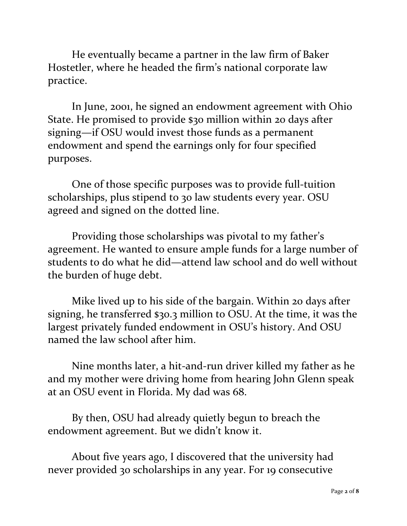He eventually became a partner in the law firm of Baker Hostetler, where he headed the firm's national corporate law practice.

In June, 2001, he signed an endowment agreement with Ohio State. He promised to provide \$30 million within 20 days after signing—if OSU would invest those funds as a permanent endowment and spend the earnings only for four specified purposes.

One of those specific purposes was to provide full-tuition scholarships, plus stipend to 30 law students every year. OSU agreed and signed on the dotted line.

Providing those scholarships was pivotal to my father's agreement. He wanted to ensure ample funds for a large number of students to do what he did—attend law school and do well without the burden of huge debt.

Mike lived up to his side of the bargain. Within 20 days after signing, he transferred \$30.3 million to OSU. At the time, it was the largest privately funded endowment in OSU's history. And OSU named the law school after him.

Nine months later, a hit-and-run driver killed my father as he and my mother were driving home from hearing John Glenn speak at an OSU event in Florida. My dad was 68.

By then, OSU had already quietly begun to breach the endowment agreement. But we didn't know it.

About five years ago, I discovered that the university had never provided 30 scholarships in any year. For 19 consecutive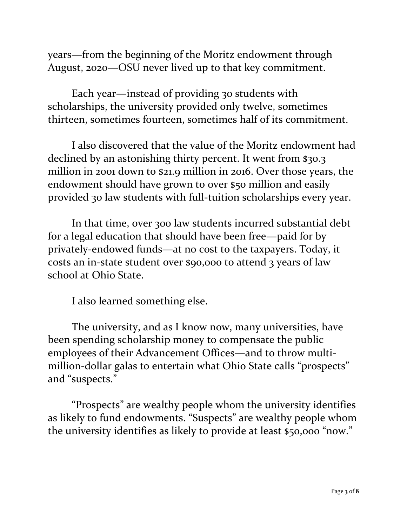years—from the beginning of the Moritz endowment through August, 2020—OSU never lived up to that key commitment.

Each year—instead of providing 30 students with scholarships, the university provided only twelve, sometimes thirteen, sometimes fourteen, sometimes half of its commitment.

I also discovered that the value of the Moritz endowment had declined by an astonishing thirty percent. It went from \$30.3 million in 2001 down to \$21.9 million in 2016. Over those years, the endowment should have grown to over \$50 million and easily provided 30 law students with full-tuition scholarships every year.

In that time, over 300 law students incurred substantial debt for a legal education that should have been free—paid for by privately-endowed funds—at no cost to the taxpayers. Today, it costs an in-state student over \$90,000 to attend 3 years of law school at Ohio State.

I also learned something else.

The university, and as I know now, many universities, have been spending scholarship money to compensate the public employees of their Advancement Offices—and to throw multimillion-dollar galas to entertain what Ohio State calls "prospects" and "suspects."

"Prospects" are wealthy people whom the university identifies as likely to fund endowments. "Suspects" are wealthy people whom the university identifies as likely to provide at least \$50,000 "now."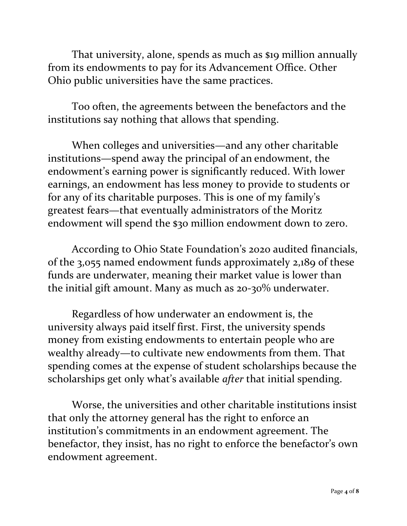That university, alone, spends as much as \$19 million annually from its endowments to pay for its Advancement Office. Other Ohio public universities have the same practices.

Too often, the agreements between the benefactors and the institutions say nothing that allows that spending.

When colleges and universities—and any other charitable institutions—spend away the principal of an endowment, the endowment's earning power is significantly reduced. With lower earnings, an endowment has less money to provide to students or for any of its charitable purposes. This is one of my family's greatest fears—that eventually administrators of the Moritz endowment will spend the \$30 million endowment down to zero.

According to Ohio State Foundation's 2020 audited financials, of the 3,055 named endowment funds approximately 2,189 of these funds are underwater, meaning their market value is lower than the initial gift amount. Many as much as 20-30% underwater.

Regardless of how underwater an endowment is, the university always paid itself first. First, the university spends money from existing endowments to entertain people who are wealthy already—to cultivate new endowments from them. That spending comes at the expense of student scholarships because the scholarships get only what's available *after* that initial spending.

Worse, the universities and other charitable institutions insist that only the attorney general has the right to enforce an institution's commitments in an endowment agreement. The benefactor, they insist, has no right to enforce the benefactor's own endowment agreement.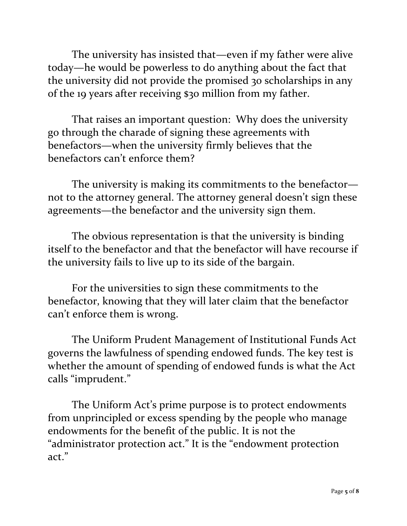The university has insisted that—even if my father were alive today—he would be powerless to do anything about the fact that the university did not provide the promised 30 scholarships in any of the 19 years after receiving \$30 million from my father.

That raises an important question: Why does the university go through the charade of signing these agreements with benefactors—when the university firmly believes that the benefactors can't enforce them?

The university is making its commitments to the benefactor not to the attorney general. The attorney general doesn't sign these agreements—the benefactor and the university sign them.

The obvious representation is that the university is binding itself to the benefactor and that the benefactor will have recourse if the university fails to live up to its side of the bargain.

For the universities to sign these commitments to the benefactor, knowing that they will later claim that the benefactor can't enforce them is wrong.

The Uniform Prudent Management of Institutional Funds Act governs the lawfulness of spending endowed funds. The key test is whether the amount of spending of endowed funds is what the Act calls "imprudent."

The Uniform Act's prime purpose is to protect endowments from unprincipled or excess spending by the people who manage endowments for the benefit of the public. It is not the "administrator protection act." It is the "endowment protection act."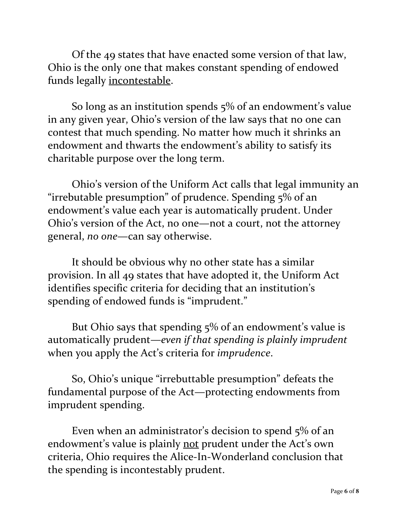Of the 49 states that have enacted some version of that law, Ohio is the only one that makes constant spending of endowed funds legally incontestable.

So long as an institution spends 5% of an endowment's value in any given year, Ohio's version of the law says that no one can contest that much spending. No matter how much it shrinks an endowment and thwarts the endowment's ability to satisfy its charitable purpose over the long term.

Ohio's version of the Uniform Act calls that legal immunity an "irrebutable presumption" of prudence. Spending 5% of an endowment's value each year is automatically prudent. Under Ohio's version of the Act, no one—not a court, not the attorney general, *no one*—can say otherwise.

It should be obvious why no other state has a similar provision. In all 49 states that have adopted it, the Uniform Act identifies specific criteria for deciding that an institution's spending of endowed funds is "imprudent."

But Ohio says that spending 5% of an endowment's value is automatically prudent—*even if that spending is plainly imprudent* when you apply the Act's criteria for *imprudence*.

So, Ohio's unique "irrebuttable presumption" defeats the fundamental purpose of the Act—protecting endowments from imprudent spending.

Even when an administrator's decision to spend 5% of an endowment's value is plainly not prudent under the Act's own criteria, Ohio requires the Alice-In-Wonderland conclusion that the spending is incontestably prudent.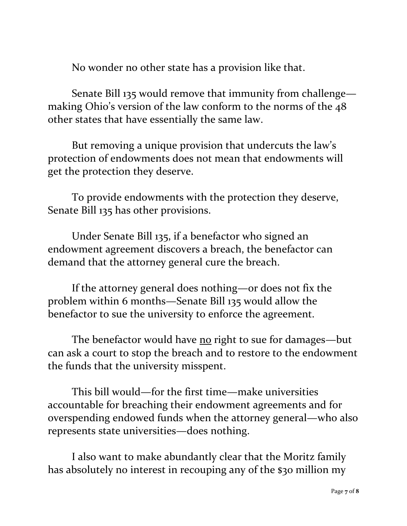No wonder no other state has a provision like that.

Senate Bill 135 would remove that immunity from challenge making Ohio's version of the law conform to the norms of the 48 other states that have essentially the same law.

But removing a unique provision that undercuts the law's protection of endowments does not mean that endowments will get the protection they deserve.

To provide endowments with the protection they deserve, Senate Bill 135 has other provisions.

Under Senate Bill 135, if a benefactor who signed an endowment agreement discovers a breach, the benefactor can demand that the attorney general cure the breach.

If the attorney general does nothing—or does not fix the problem within 6 months—Senate Bill 135 would allow the benefactor to sue the university to enforce the agreement.

The benefactor would have no right to sue for damages—but can ask a court to stop the breach and to restore to the endowment the funds that the university misspent.

This bill would—for the first time—make universities accountable for breaching their endowment agreements and for overspending endowed funds when the attorney general—who also represents state universities—does nothing.

I also want to make abundantly clear that the Moritz family has absolutely no interest in recouping any of the \$30 million my